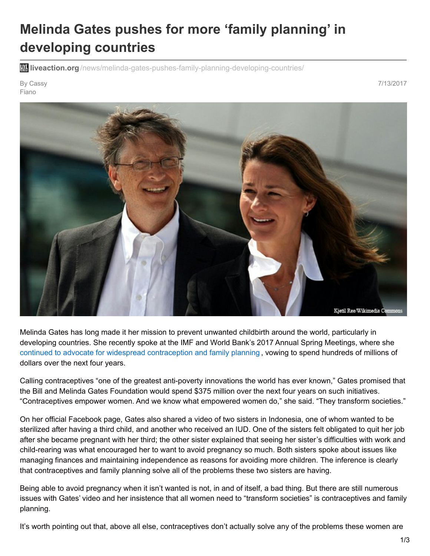## **Melinda Gates pushes for more 'family planning' in developing countries**

**liveaction.org** [/news/melinda-gates-pushes-family-planning-developing-countries/](https://www.liveaction.org/news/melinda-gates-pushes-family-planning-developing-countries/)

By Cassy Fiano

7/13/2017



Melinda Gates has long made it her mission to prevent unwanted childbirth around the world, particularly in developing countries. She recently spoke at the IMF and World Bank's 2017 Annual Spring Meetings, where she continued to advocate for widespread [contraception](https://www.reuters.com/article/us-global-contraception-summit-idUSKBN19W0PC) and family planning , vowing to spend hundreds of millions of dollars over the next four years.

Calling contraceptives "one of the greatest anti-poverty innovations the world has ever known," Gates promised that the Bill and Melinda Gates Foundation would spend \$375 million over the next four years on such initiatives. "Contraceptives empower women. And we know what empowered women do," she said. "They transform societies."

On her official Facebook page, Gates also shared a video of two sisters in Indonesia, one of whom wanted to be sterilized after having a third child, and another who received an IUD. One of the sisters felt obligated to quit her job after she became pregnant with her third; the other sister explained that seeing her sister's difficulties with work and child-rearing was what encouraged her to want to avoid pregnancy so much. Both sisters spoke about issues like managing finances and maintaining independence as reasons for avoiding more children. The inference is clearly that contraceptives and family planning solve all of the problems these two sisters are having.

Being able to avoid pregnancy when it isn't wanted is not, in and of itself, a bad thing. But there are still numerous issues with Gates' video and her insistence that all women need to "transform societies" is contraceptives and family planning.

It's worth pointing out that, above all else, contraceptives don't actually solve any of the problems these women are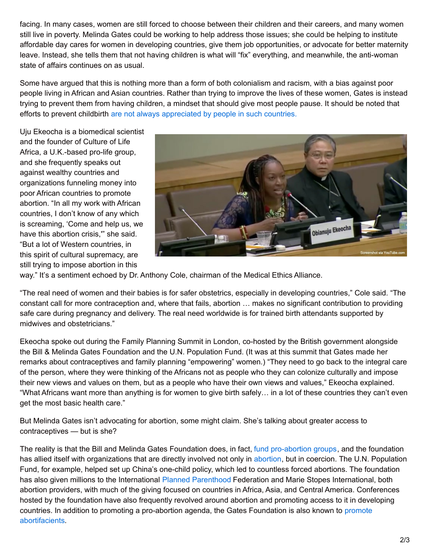facing. In many cases, women are still forced to choose between their children and their careers, and many women still live in poverty. Melinda Gates could be working to help address those issues; she could be helping to institute affordable day cares for women in developing countries, give them job opportunities, or advocate for better maternity leave. Instead, she tells them that not having children is what will "fix" everything, and meanwhile, the anti-woman state of affairs continues on as usual.

Some have argued that this is nothing more than a form of both colonialism and racism, with a bias against poor people living in African and Asian countries. Rather than trying to improve the lives of these women, Gates is instead trying to prevent them from having children, a mindset that should give most people pause. It should be noted that efforts to prevent childbirth are not always [appreciated](https://www.americamagazine.org/politics-society/2017/07/11/nigerian-calls-wests-imposition-abortion-cultural-supremacy?utm_content=bufferf4b6c&utm_medium=social&utm_source=facebook.com&utm_campaign=buffer) by people in such countries.

Uju Ekeocha is a biomedical scientist and the founder of Culture of Life Africa, a U.K.-based pro-life group, and she frequently speaks out against wealthy countries and organizations funneling money into poor African countries to promote abortion. "In all my work with African countries, I don't know of any which is screaming, 'Come and help us, we have this abortion crisis,'" she said. "But a lot of Western countries, in this spirit of cultural supremacy, are still trying to impose abortion in this



way." It's a sentiment echoed by Dr. Anthony Cole, chairman of the Medical Ethics Alliance.

"The real need of women and their babies is for safer obstetrics, especially in developing countries," Cole said. "The constant call for more contraception and, where that fails, abortion … makes no significant contribution to providing safe care during pregnancy and delivery. The real need worldwide is for trained birth attendants supported by midwives and obstetricians."

Ekeocha spoke out during the Family Planning Summit in London, co-hosted by the British government alongside the Bill & Melinda Gates Foundation and the U.N. Population Fund. (It was at this summit that Gates made her remarks about contraceptives and family planning "empowering" women.) "They need to go back to the integral care of the person, where they were thinking of the Africans not as people who they can colonize culturally and impose their new views and values on them, but as a people who have their own views and values," Ekeocha explained. "What Africans want more than anything is for women to give birth safely… in a lot of these countries they can't even get the most basic health care."

But Melinda Gates isn't advocating for abortion, some might claim. She's talking about greater access to contraceptives — but is she?

The reality is that the Bill and Melinda Gates Foundation does, in fact, fund [pro-abortion](https://www.liveaction.org/news/fact-check-does-the-gates-foundation-fund-abortion/) groups, and the foundation has allied itself with organizations that are directly involved not only in [abortion](http://abortionprocedures.com/?__hstc=61024563.9bd8c939e600cbad98cd32edf3ab7840.1499916528441.1500214767652.1500218938642.3&__hssc=61024563.2.1500218938642&__hsfp=1901320167), but in coercion. The U.N. Population Fund, for example, helped set up China's one-child policy, which led to countless forced abortions. The foundation has also given millions to the International Planned [Parenthood](http://liveaction.org/abortioncorporation) Federation and Marie Stopes International, both abortion providers, with much of the giving focused on countries in Africa, Asia, and Central America. Conferences hosted by the foundation have also frequently revolved around abortion and promoting access to it in developing countries. In addition to promoting a pro-abortion agenda, the Gates Foundation is also known to promote [abortifacients.](https://www.liveaction.org/news/gates-foundation-pours-120-million-pushing-abortifacients/)